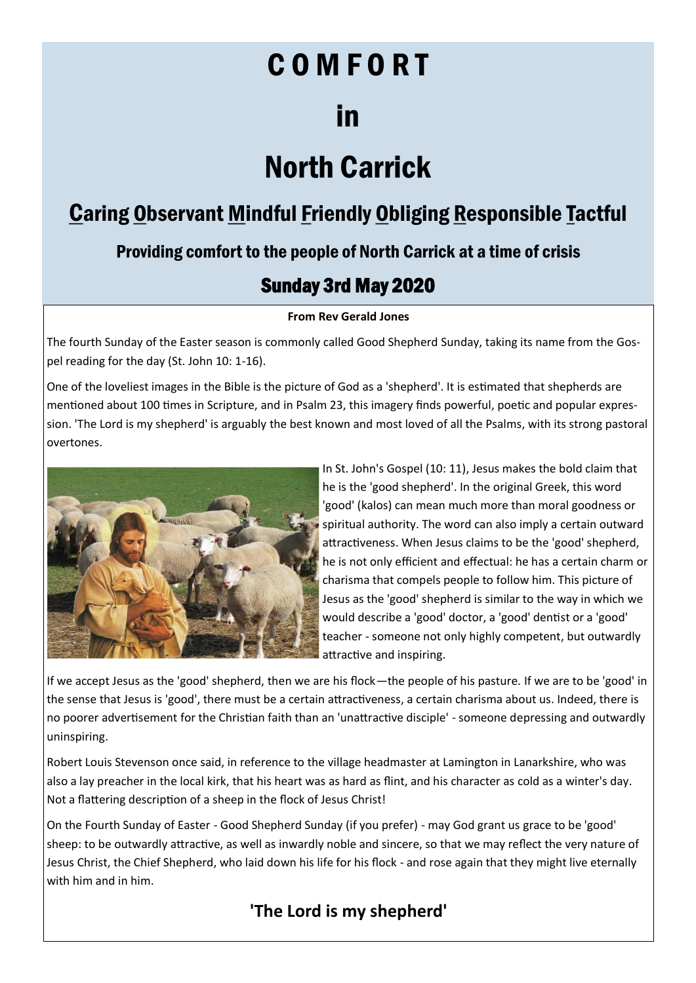# C O M F O R T

# in

# North Carrick

# Caring Observant Mindful Friendly Obliging Responsible Tactful

## Providing comfort to the people of North Carrick at a time of crisis

# Sunday 3rd May 2020

## **From Rev Gerald Jones**

The fourth Sunday of the Easter season is commonly called Good Shepherd Sunday, taking its name from the Gospel reading for the day (St. John 10: 1-16).

One of the loveliest images in the Bible is the picture of God as a 'shepherd'. It is estimated that shepherds are mentioned about 100 times in Scripture, and in Psalm 23, this imagery finds powerful, poetic and popular expression. 'The Lord is my shepherd' is arguably the best known and most loved of all the Psalms, with its strong pastoral overtones.



In St. John's Gospel (10: 11), Jesus makes the bold claim that he is the 'good shepherd'. In the original Greek, this word 'good' (kalos) can mean much more than moral goodness or spiritual authority. The word can also imply a certain outward attractiveness. When Jesus claims to be the 'good' shepherd, he is not only efficient and effectual: he has a certain charm or charisma that compels people to follow him. This picture of Jesus as the 'good' shepherd is similar to the way in which we would describe a 'good' doctor, a 'good' dentist or a 'good' teacher - someone not only highly competent, but outwardly attractive and inspiring.

If we accept Jesus as the 'good' shepherd, then we are his flock—the people of his pasture. If we are to be 'good' in the sense that Jesus is 'good', there must be a certain attractiveness, a certain charisma about us. Indeed, there is no poorer advertisement for the Christian faith than an 'unattractive disciple' - someone depressing and outwardly uninspiring.

Robert Louis Stevenson once said, in reference to the village headmaster at Lamington in Lanarkshire, who was also a lay preacher in the local kirk, that his heart was as hard as flint, and his character as cold as a winter's day. Not a flattering description of a sheep in the flock of Jesus Christ!

On the Fourth Sunday of Easter - Good Shepherd Sunday (if you prefer) - may God grant us grace to be 'good' sheep: to be outwardly attractive, as well as inwardly noble and sincere, so that we may reflect the very nature of Jesus Christ, the Chief Shepherd, who laid down his life for his flock - and rose again that they might live eternally with him and in him.

# **'The Lord is my shepherd'**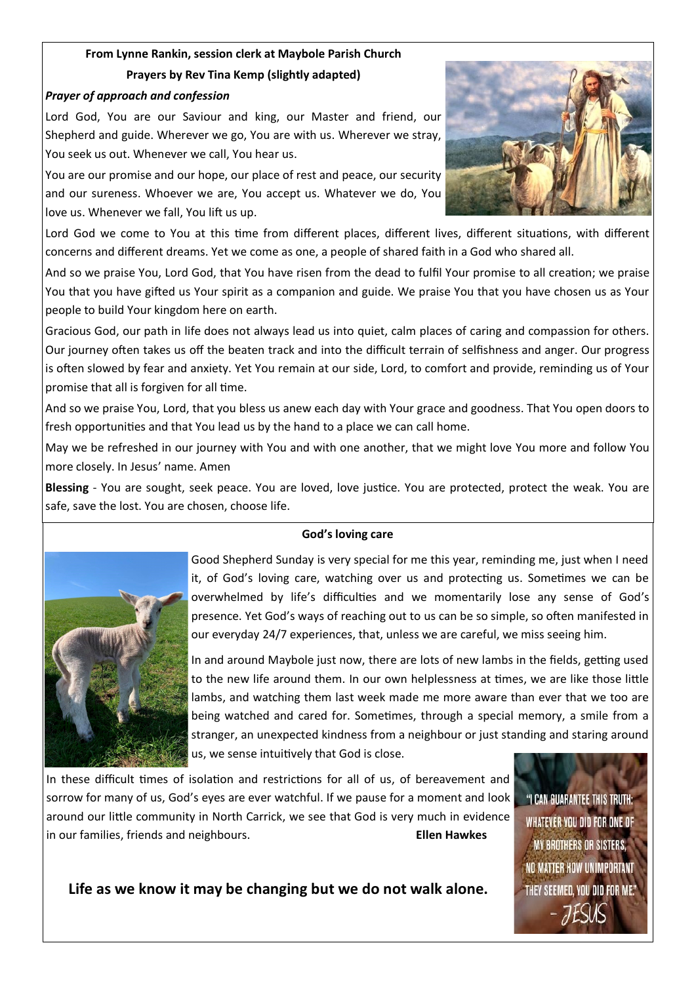## **From Lynne Rankin, session clerk at Maybole Parish Church Prayers by Rev Tina Kemp (slightly adapted)**

### *Prayer of approach and confession*

Lord God, You are our Saviour and king, our Master and friend, our Shepherd and guide. Wherever we go, You are with us. Wherever we stray, You seek us out. Whenever we call, You hear us.

You are our promise and our hope, our place of rest and peace, our security and our sureness. Whoever we are, You accept us. Whatever we do, You love us. Whenever we fall, You lift us up.



Lord God we come to You at this time from different places, different lives, different situations, with different concerns and different dreams. Yet we come as one, a people of shared faith in a God who shared all.

And so we praise You, Lord God, that You have risen from the dead to fulfil Your promise to all creation; we praise You that you have gifted us Your spirit as a companion and guide. We praise You that you have chosen us as Your people to build Your kingdom here on earth.

Gracious God, our path in life does not always lead us into quiet, calm places of caring and compassion for others. Our journey often takes us off the beaten track and into the difficult terrain of selfishness and anger. Our progress is often slowed by fear and anxiety. Yet You remain at our side, Lord, to comfort and provide, reminding us of Your promise that all is forgiven for all time.

And so we praise You, Lord, that you bless us anew each day with Your grace and goodness. That You open doors to fresh opportunities and that You lead us by the hand to a place we can call home.

May we be refreshed in our journey with You and with one another, that we might love You more and follow You more closely. In Jesus' name. Amen

**Blessing** - You are sought, seek peace. You are loved, love justice. You are protected, protect the weak. You are safe, save the lost. You are chosen, choose life.

#### **God's loving care**



Good Shepherd Sunday is very special for me this year, reminding me, just when I need it, of God's loving care, watching over us and protecting us. Sometimes we can be overwhelmed by life's difficulties and we momentarily lose any sense of God's presence. Yet God's ways of reaching out to us can be so simple, so often manifested in our everyday 24/7 experiences, that, unless we are careful, we miss seeing him.

In and around Maybole just now, there are lots of new lambs in the fields, getting used to the new life around them. In our own helplessness at times, we are like those little lambs, and watching them last week made me more aware than ever that we too are being watched and cared for. Sometimes, through a special memory, a smile from a stranger, an unexpected kindness from a neighbour or just standing and staring around us, we sense intuitively that God is close.

In these difficult times of isolation and restrictions for all of us, of bereavement and sorrow for many of us, God's eyes are ever watchful. If we pause for a moment and look around our little community in North Carrick, we see that God is very much in evidence in our families, friends and neighbours. **Ellen Hawkes**

"I CAN GUARANTEE THIS TRUTH: WHATEVER YOU DID FOR ONE OF **MY BROTHERS OR SISTERS,** NO MATTER HOW UNIMPORTANT THEY SEEMED, YOU DID FOR ME."

**Life as we know it may be changing but we do not walk alone.**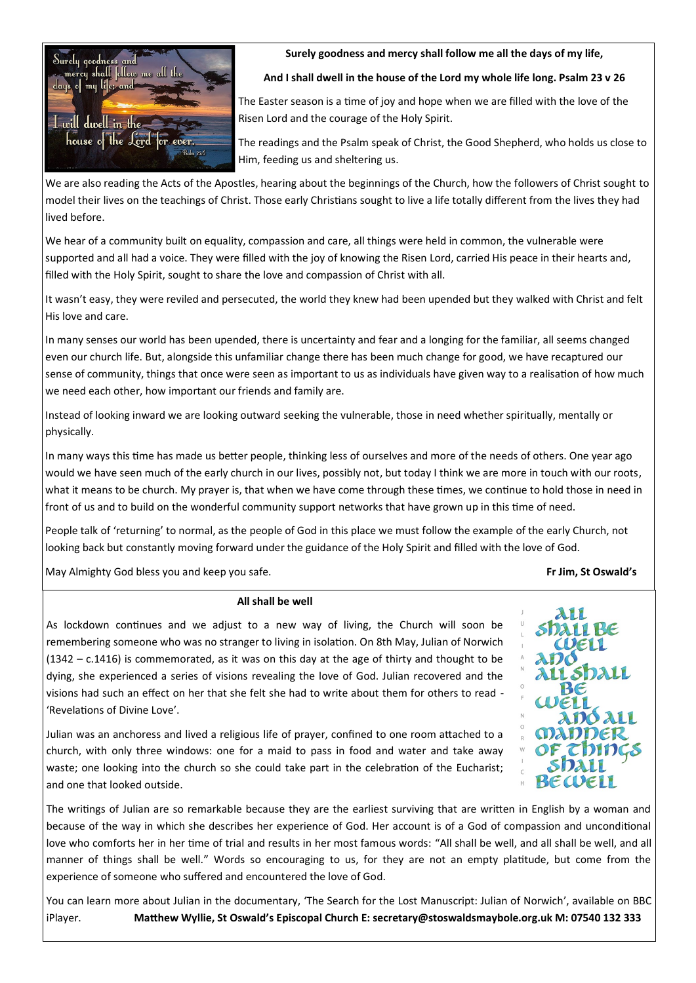

**Surely goodness and mercy shall follow me all the days of my life,**

**And I shall dwell in the house of the Lord my whole life long. Psalm 23 v 26**

The Easter season is a time of joy and hope when we are filled with the love of the Risen Lord and the courage of the Holy Spirit.

The readings and the Psalm speak of Christ, the Good Shepherd, who holds us close to Him, feeding us and sheltering us.

We are also reading the Acts of the Apostles, hearing about the beginnings of the Church, how the followers of Christ sought to model their lives on the teachings of Christ. Those early Christians sought to live a life totally different from the lives they had lived before.

We hear of a community built on equality, compassion and care, all things were held in common, the vulnerable were supported and all had a voice. They were filled with the joy of knowing the Risen Lord, carried His peace in their hearts and, filled with the Holy Spirit, sought to share the love and compassion of Christ with all.

It wasn't easy, they were reviled and persecuted, the world they knew had been upended but they walked with Christ and felt His love and care.

In many senses our world has been upended, there is uncertainty and fear and a longing for the familiar, all seems changed even our church life. But, alongside this unfamiliar change there has been much change for good, we have recaptured our sense of community, things that once were seen as important to us as individuals have given way to a realisation of how much we need each other, how important our friends and family are.

Instead of looking inward we are looking outward seeking the vulnerable, those in need whether spiritually, mentally or physically.

In many ways this time has made us better people, thinking less of ourselves and more of the needs of others. One year ago would we have seen much of the early church in our lives, possibly not, but today I think we are more in touch with our roots, what it means to be church. My prayer is, that when we have come through these times, we continue to hold those in need in front of us and to build on the wonderful community support networks that have grown up in this time of need.

People talk of 'returning' to normal, as the people of God in this place we must follow the example of the early Church, not looking back but constantly moving forward under the guidance of the Holy Spirit and filled with the love of God.

May Almighty God bless you and keep you safe. **Fr Jim, St Oswald's**

#### **All shall be well**

As lockdown continues and we adjust to a new way of living, the Church will soon be remembering someone who was no stranger to living in isolation. On 8th May, Julian of Norwich (1342 – c.1416) is commemorated, as it was on this day at the age of thirty and thought to be dying, she experienced a series of visions revealing the love of God. Julian recovered and the visions had such an effect on her that she felt she had to write about them for others to read - 'Revelations of Divine Love'.

Julian was an anchoress and lived a religious life of prayer, confined to one room attached to a church, with only three windows: one for a maid to pass in food and water and take away waste; one looking into the church so she could take part in the celebration of the Eucharist; and one that looked outside.



The writings of Julian are so remarkable because they are the earliest surviving that are written in English by a woman and because of the way in which she describes her experience of God. Her account is of a God of compassion and unconditional love who comforts her in her time of trial and results in her most famous words: "All shall be well, and all shall be well, and all manner of things shall be well." Words so encouraging to us, for they are not an empty platitude, but come from the experience of someone who suffered and encountered the love of God.

You can learn more about Julian in the documentary, 'The Search for the Lost Manuscript: Julian of Norwich', available on BBC iPlayer. **Matthew Wyllie, St Oswald's Episcopal Church E: secretary@stoswaldsmaybole.org.uk M: 07540 132 333**